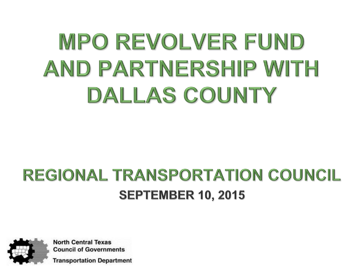# MPO REVOLVER FUND AND PARTNERSHIP WITH DALLAS COUNTY

#### REGIONAL TRANSPORTATION COUNCIL **SEPTEMBER 10, 2015**



**North Central Texas Council of Governments** 

**Transportation Department**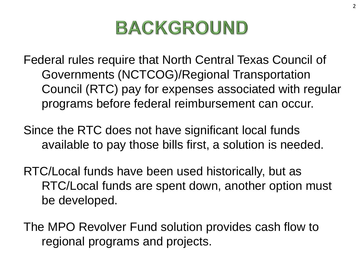### **BACKGROUND**

Federal rules require that North Central Texas Council of Governments (NCTCOG)/Regional Transportation Council (RTC) pay for expenses associated with regular programs before federal reimbursement can occur.

Since the RTC does not have significant local funds available to pay those bills first, a solution is needed.

RTC/Local funds have been used historically, but as RTC/Local funds are spent down, another option must be developed.

The MPO Revolver Fund solution provides cash flow to regional programs and projects.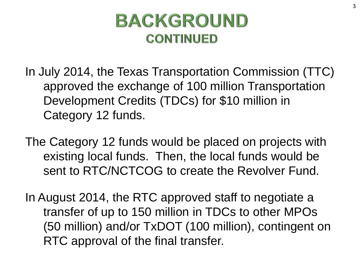#### **BACKGROUND CONTINUED**

In July 2014, the Texas Transportation Commission (TTC) approved the exchange of 100 million Transportation Development Credits (TDCs) for \$10 million in Category 12 funds.

The Category 12 funds would be placed on projects with existing local funds. Then, the local funds would be sent to RTC/NCTCOG to create the Revolver Fund.

In August 2014, the RTC approved staff to negotiate a transfer of up to 150 million in TDCs to other MPOs (50 million) and/or TxDOT (100 million), contingent on RTC approval of the final transfer.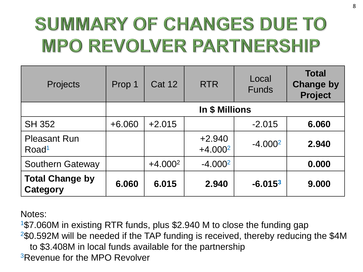# SUMMARY OF CHANGES DUE TO **MPO REVOLVER PARTNERSHIP**

| <b>Projects</b>                          | Prop 1         | <b>Cat 12</b> | <b>RTR</b>            | Local<br><b>Funds</b> | <b>Total</b><br><b>Change by</b><br><b>Project</b> |
|------------------------------------------|----------------|---------------|-----------------------|-----------------------|----------------------------------------------------|
|                                          | In \$ Millions |               |                       |                       |                                                    |
| <b>SH 352</b>                            | $+6.060$       | $+2.015$      |                       | $-2.015$              | 6.060                                              |
| <b>Pleasant Run</b><br>Road <sup>1</sup> |                |               | $+2.940$<br>$+4.0002$ | $-4.0002$             | 2.940                                              |
| <b>Southern Gateway</b>                  |                | $+4.0002$     | $-4.0002$             |                       | 0.000                                              |
| <b>Total Change by</b><br>Category       | 6.060          | 6.015         | 2.940                 | $-6.0153$             | 9.000                                              |

Notes:

<sup>1</sup>\$7.060M in existing RTR funds, plus \$2.940 M to close the funding gap  $2$ \$0.592M will be needed if the TAP funding is received, thereby reducing the \$4M

to \$3.408M in local funds available for the partnership

<sup>3</sup>Revenue for the MPO Revolver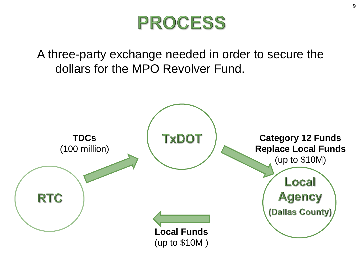

A three-party exchange needed in order to secure the dollars for the MPO Revolver Fund.